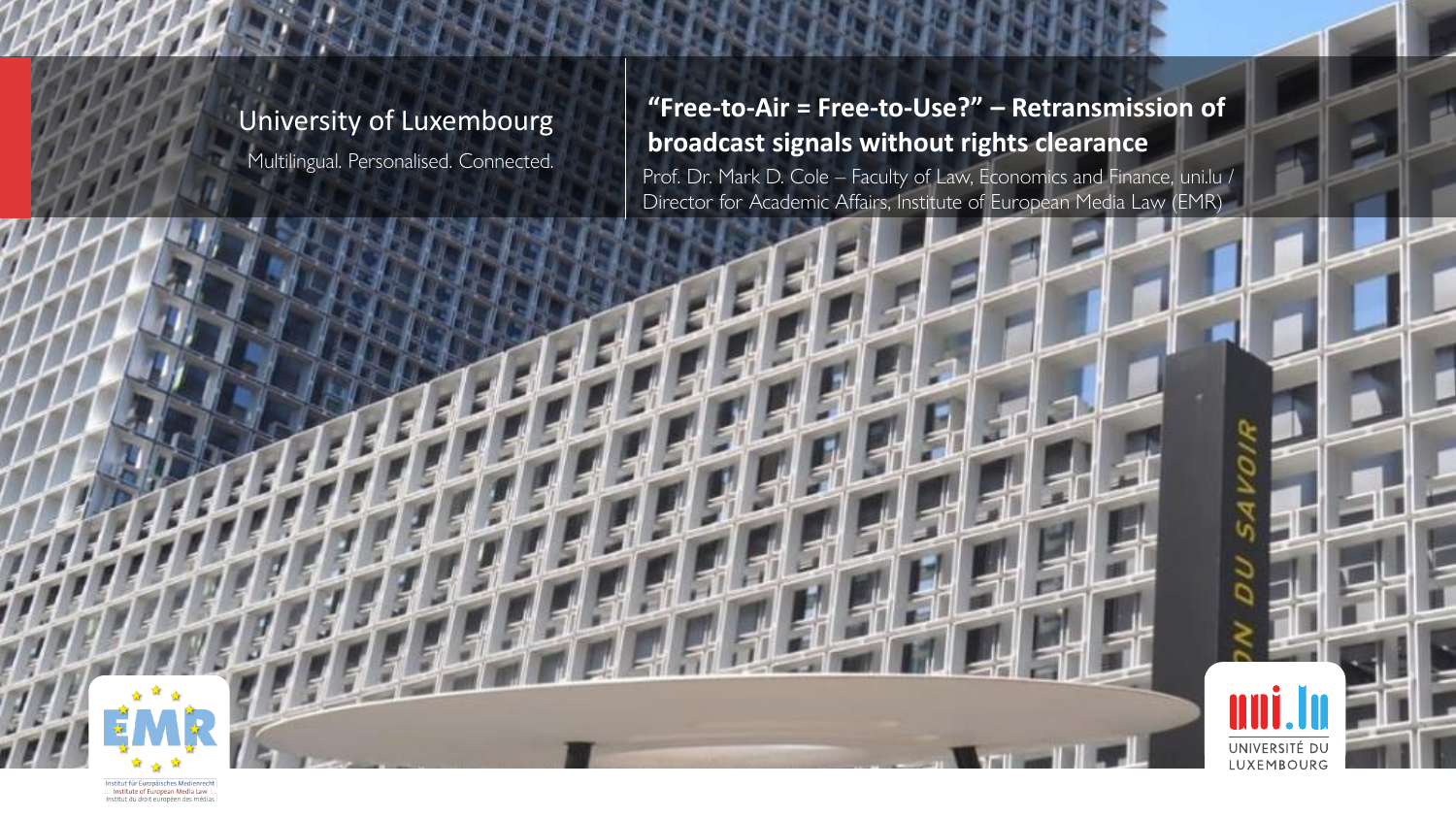#### University of Luxembourg

Multilingual. Personalised. Connected.

**"Free-to-Air = Free-to-Use?" – Retransmission of broadcast signals without rights clearance**

Prof. Dr. Mark D. Cole – Faculty of Law, Economics and Finance, uni.lu / Director for Academic Affairs, Institute of European Media Law (EMR)



Institut für Europäisches Medienrecht Institute of European Media Law Institut du droit européen des médias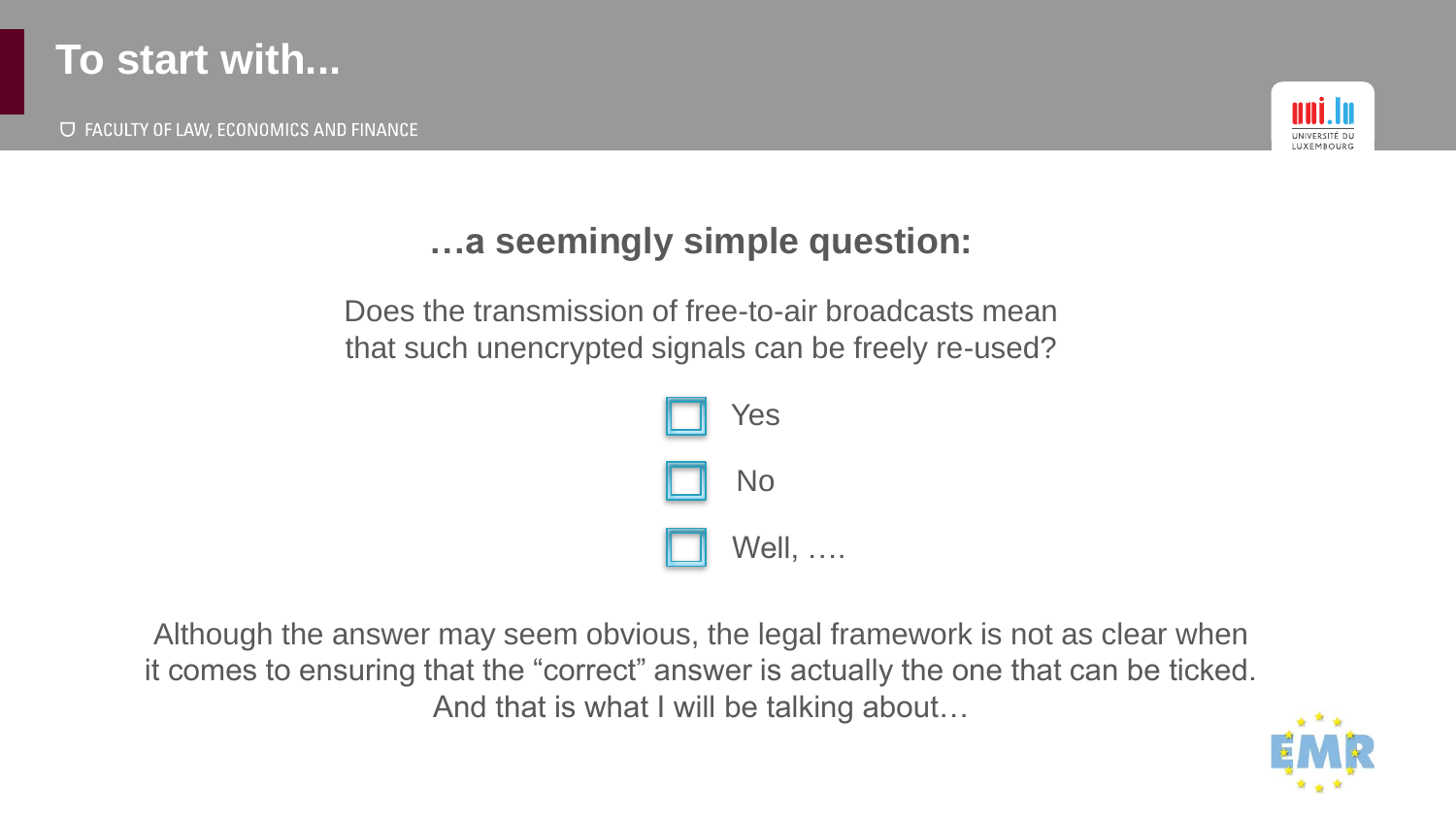

**U FACULTY OF LAW, ECONOMICS AND FINANCE** 



#### **…a seemingly simple question:**

Does the transmission of free-to-air broadcasts mean that such unencrypted signals can be freely re-used?



Although the answer may seem obvious, the legal framework is not as clear when it comes to ensuring that the "correct" answer is actually the one that can be ticked. And that is what I will be talking about…

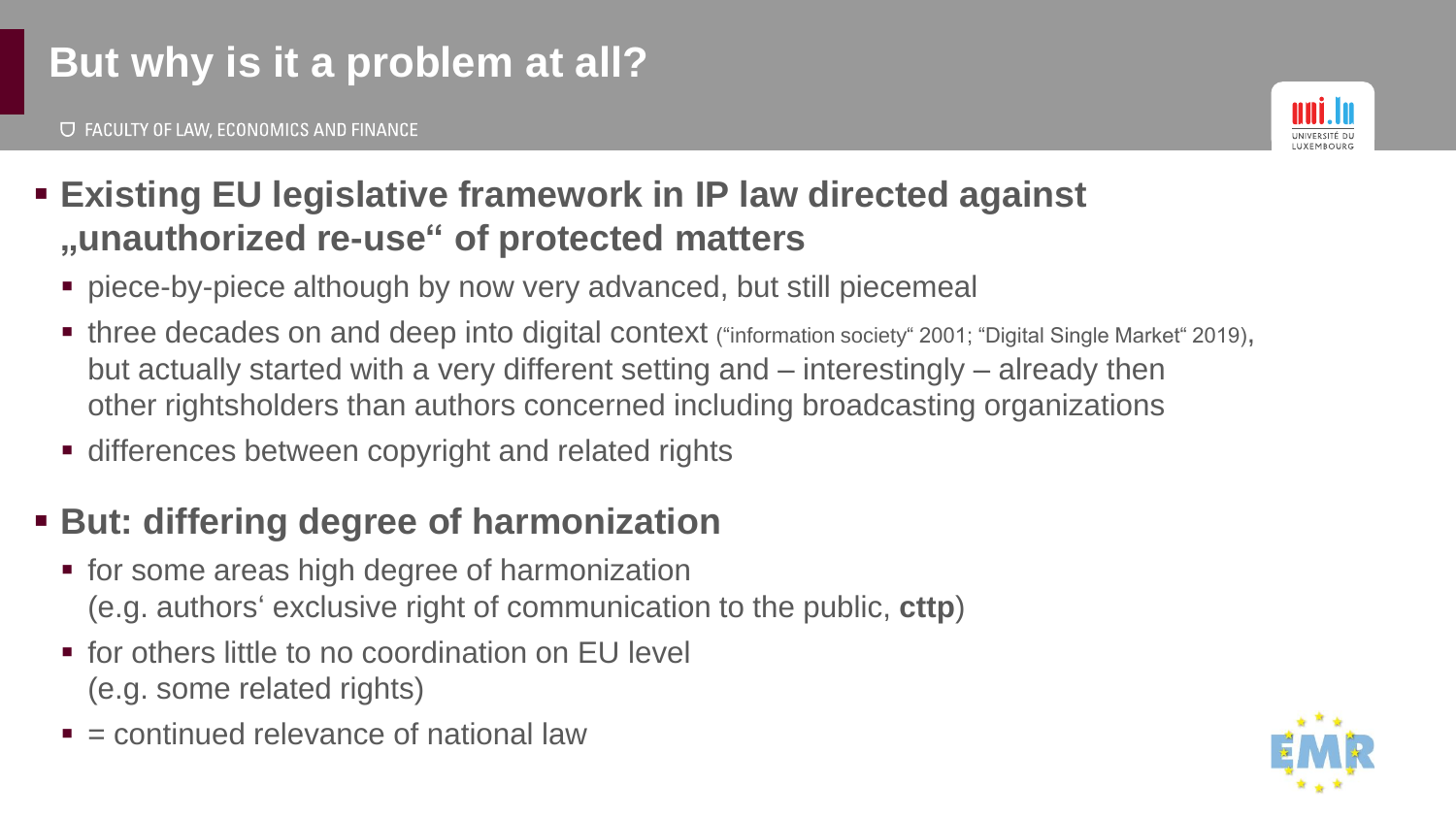# **But why is it a problem at all?**

**U FACULTY OF LAW, ECONOMICS AND FINANCE** 



#### ▪ **Existing EU legislative framework in IP law directed against "unauthorized re-use" of protected matters**

- piece-by-piece although by now very advanced, but still piecemeal
- three decades on and deep into digital context ("information society" 2001; "Digital Single Market" 2019), but actually started with a very different setting and – interestingly – already then other rightsholders than authors concerned including broadcasting organizations
- differences between copyright and related rights

## ▪ **But: differing degree of harmonization**

- for some areas high degree of harmonization (e.g. authors' exclusive right of communication to the public, **cttp**)
- for others little to no coordination on EU level (e.g. some related rights)
- $\blacksquare$  = continued relevance of national law

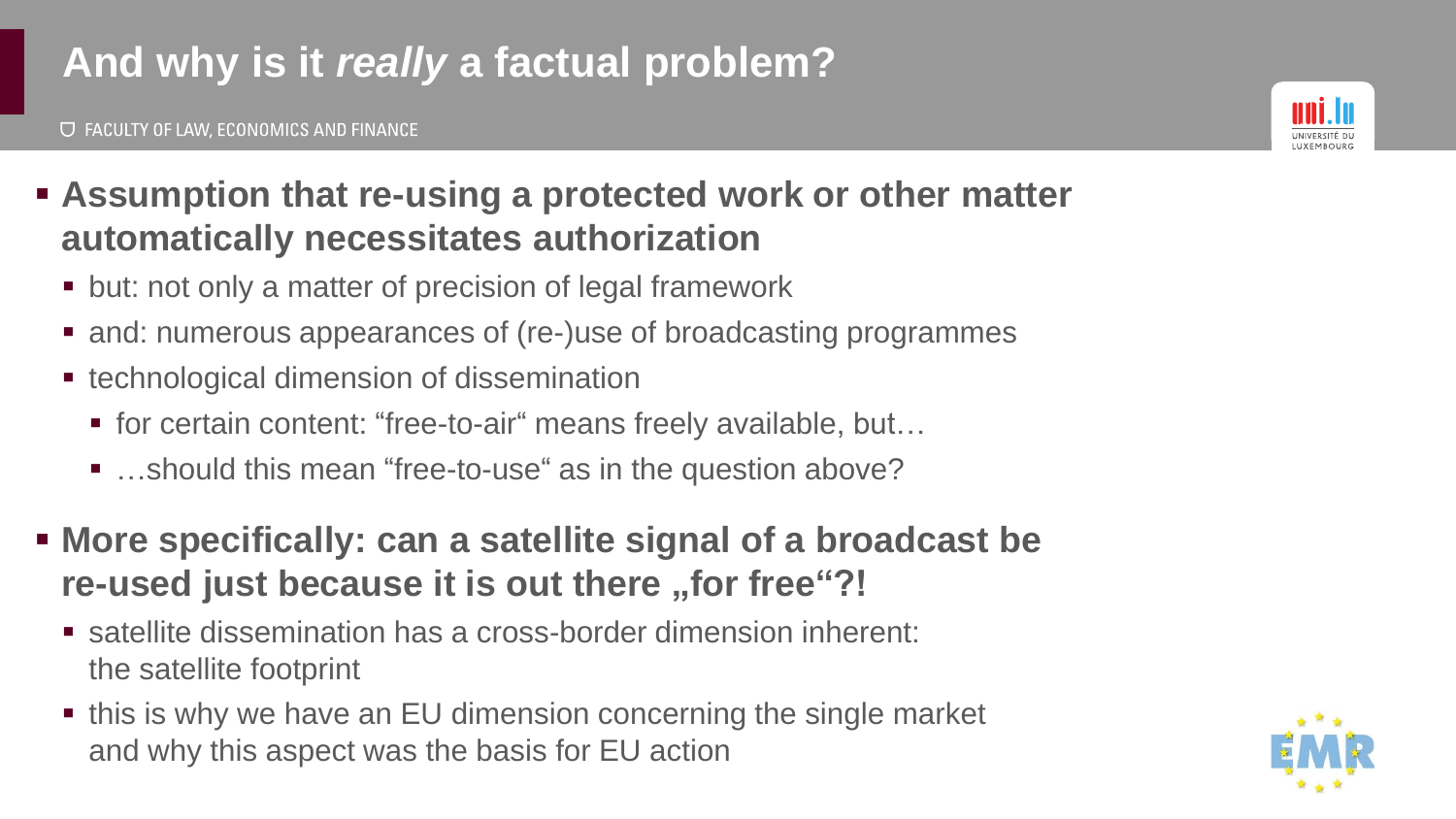# **And why is it** *really* **a factual problem?**



- **Assumption that re-using a protected work or other matter automatically necessitates authorization**
	- but: not only a matter of precision of legal framework
	- and: numerous appearances of (re-)use of broadcasting programmes
	- technological dimension of dissemination
		- for certain content: "free-to-air" means freely available, but...
		- ...should this mean "free-to-use" as in the question above?
- **More specifically: can a satellite signal of a broadcast be re-used just because it is out there "for free"?!**
	- satellite dissemination has a cross-border dimension inherent: the satellite footprint
	- this is why we have an EU dimension concerning the single market and why this aspect was the basis for EU action

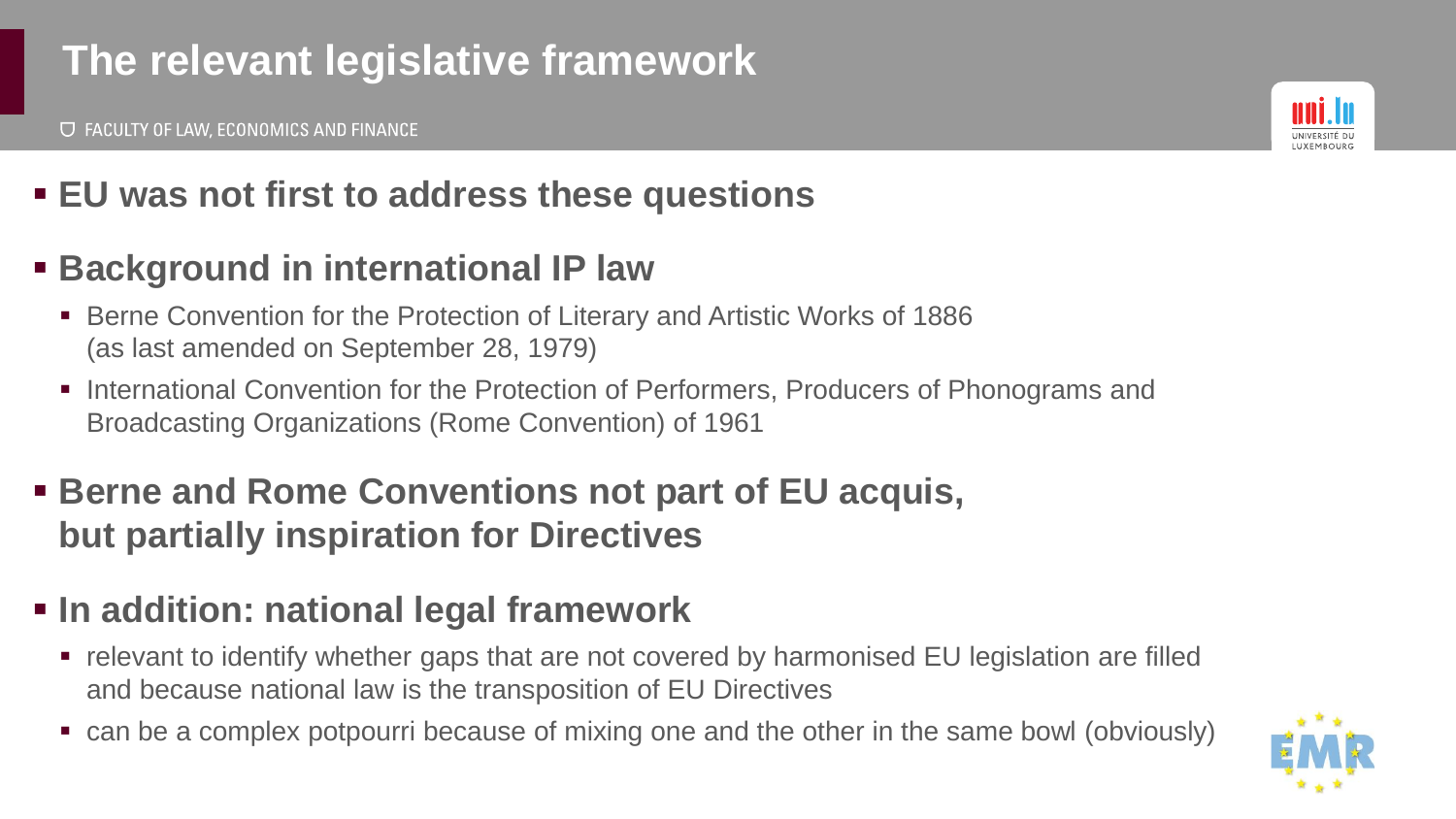# **The relevant legislative framework**



## ▪ **EU was not first to address these questions**

#### ▪ **Background in international IP law**

- Berne Convention for the Protection of Literary and Artistic Works of 1886 (as last amended on September 28, 1979)
- International Convention for the Protection of Performers, Producers of Phonograms and Broadcasting Organizations (Rome Convention) of 1961
- **EXECTE: Berne and Rome Conventions not part of EU acquis, but partially inspiration for Directives**

#### ▪ **In addition: national legal framework**

- relevant to identify whether gaps that are not covered by harmonised EU legislation are filled and because national law is the transposition of EU Directives
- can be a complex potpourri because of mixing one and the other in the same bowl (obviously)

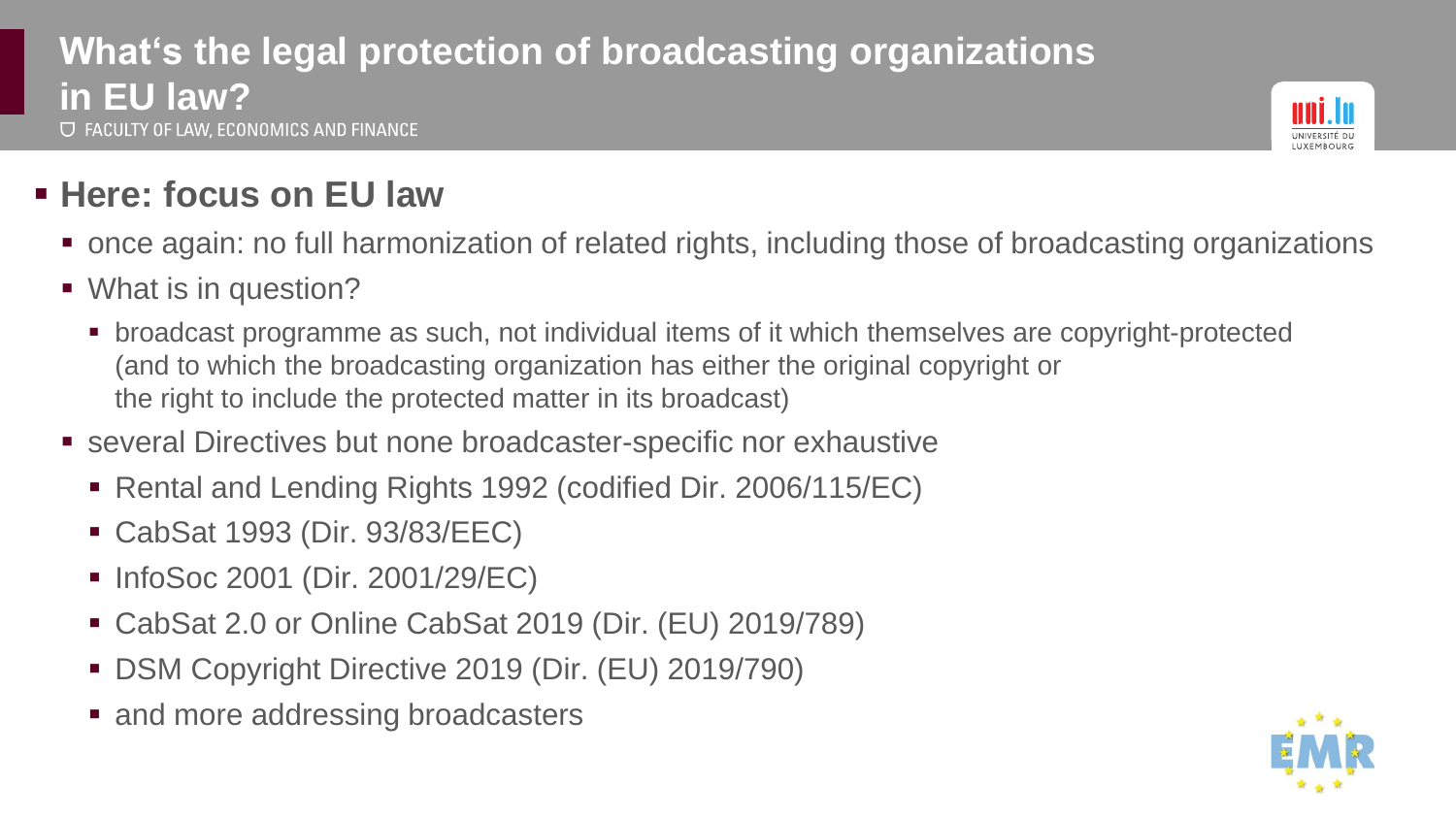#### **What's the legal protection of broadcasting organizations in EU law? U FACULTY OF LAW, ECONOMICS AND FINANCE**



## ▪ **Here: focus on EU law**

- once again: no full harmonization of related rights, including those of broadcasting organizations
- What is in question?
	- broadcast programme as such, not individual items of it which themselves are copyright-protected (and to which the broadcasting organization has either the original copyright or the right to include the protected matter in its broadcast)
- several Directives but none broadcaster-specific nor exhaustive
	- Rental and Lending Rights 1992 (codified Dir. 2006/115/EC)
	- CabSat 1993 (Dir. 93/83/EEC)
	- InfoSoc 2001 (Dir. 2001/29/EC)
	- CabSat 2.0 or Online CabSat 2019 (Dir. (EU) 2019/789)
	- DSM Copyright Directive 2019 (Dir. (EU) 2019/790)
	- and more addressing broadcasters

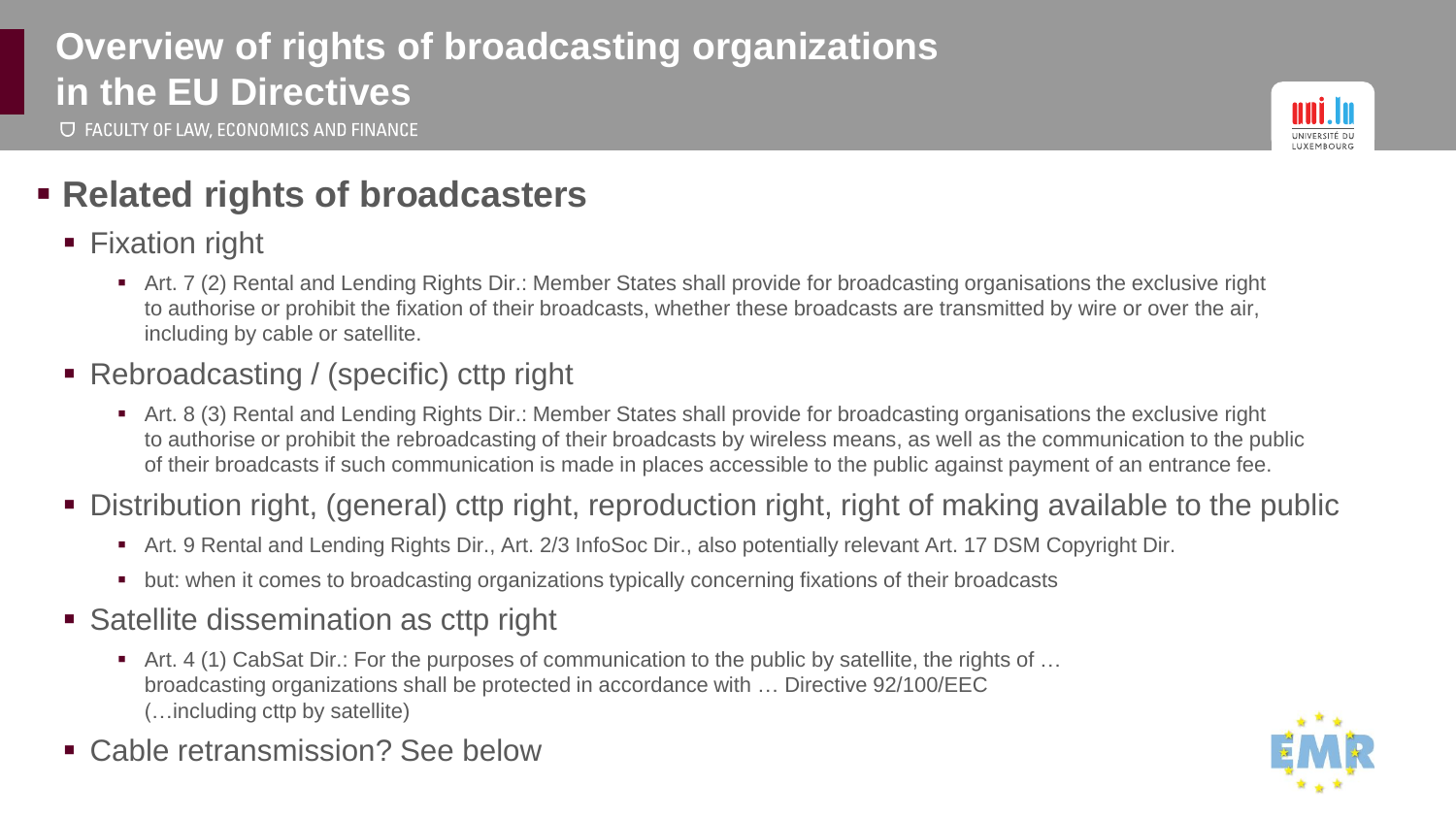#### **Overview of rights of broadcasting organizations in the EU Directives U FACULTY OF LAW, ECONOMICS AND FINANCE**



#### ▪ **Related rights of broadcasters**

- Fixation right
	- Art. 7 (2) Rental and Lending Rights Dir.: Member States shall provide for broadcasting organisations the exclusive right to authorise or prohibit the fixation of their broadcasts, whether these broadcasts are transmitted by wire or over the air, including by cable or satellite.
- Rebroadcasting / (specific) cttp right
	- Art. 8 (3) Rental and Lending Rights Dir.: Member States shall provide for broadcasting organisations the exclusive right to authorise or prohibit the rebroadcasting of their broadcasts by wireless means, as well as the communication to the public of their broadcasts if such communication is made in places accessible to the public against payment of an entrance fee.
- Distribution right, (general) cttp right, reproduction right, right of making available to the public
	- Art. 9 Rental and Lending Rights Dir., Art. 2/3 InfoSoc Dir., also potentially relevant Art. 17 DSM Copyright Dir.
	- but: when it comes to broadcasting organizations typically concerning fixations of their broadcasts
- Satellite dissemination as cttp right
	- Art. 4 (1) CabSat Dir.: For the purposes of communication to the public by satellite, the rights of ... broadcasting organizations shall be protected in accordance with … Directive 92/100/EEC (…including cttp by satellite)
- Cable retransmission? See below

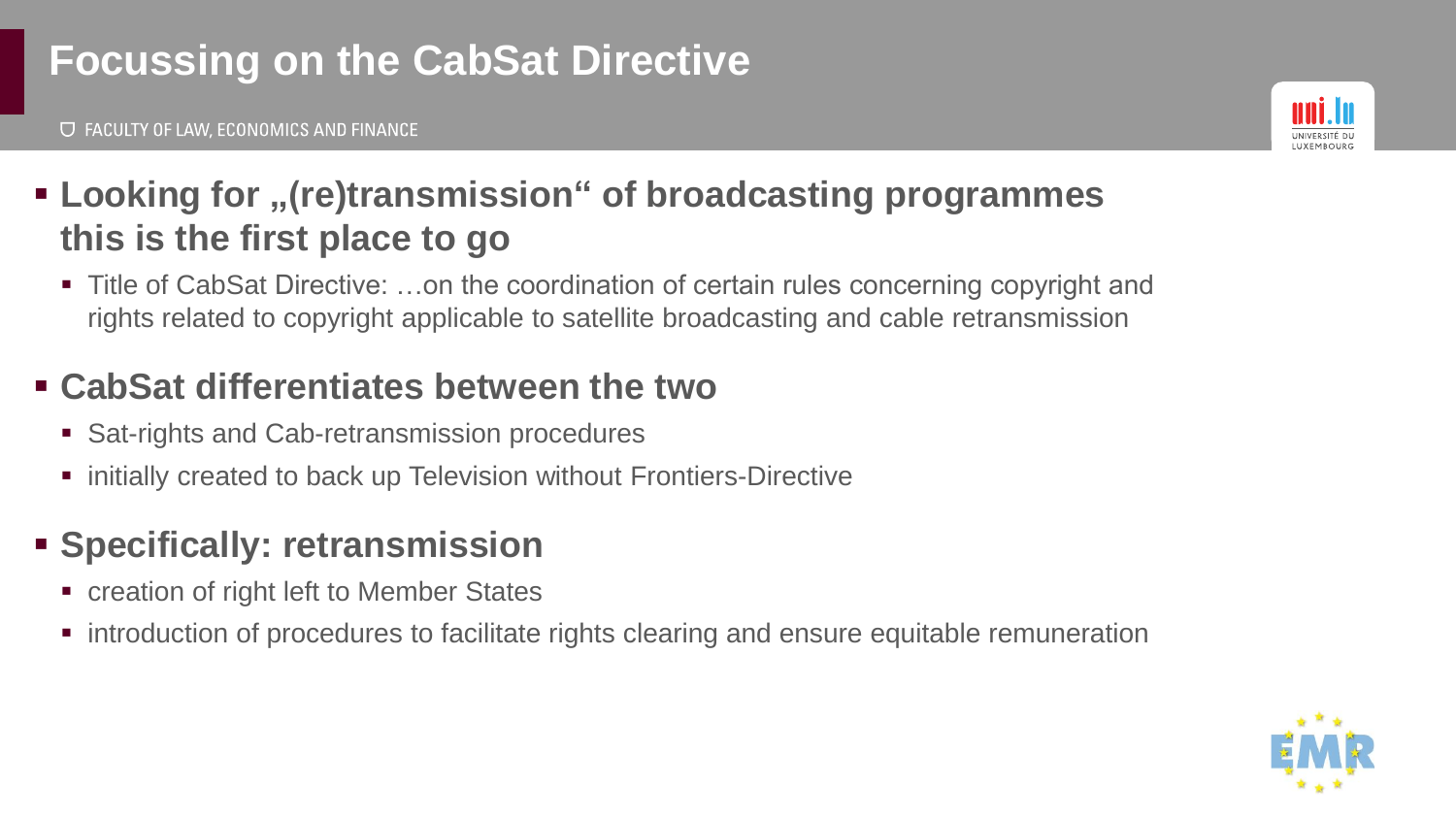# **Focussing on the CabSat Directive**

**U FACULTY OF LAW, ECONOMICS AND FINANCE** 



## ▪ **Looking for "(re)transmission" of broadcasting programmes this is the first place to go**

■ Title of CabSat Directive: …on the coordination of certain rules concerning copyright and rights related to copyright applicable to satellite broadcasting and cable retransmission

#### ▪ **CabSat differentiates between the two**

- Sat-rights and Cab-retransmission procedures
- initially created to back up Television without Frontiers-Directive

## ▪ **Specifically: retransmission**

- creation of right left to Member States
- introduction of procedures to facilitate rights clearing and ensure equitable remuneration

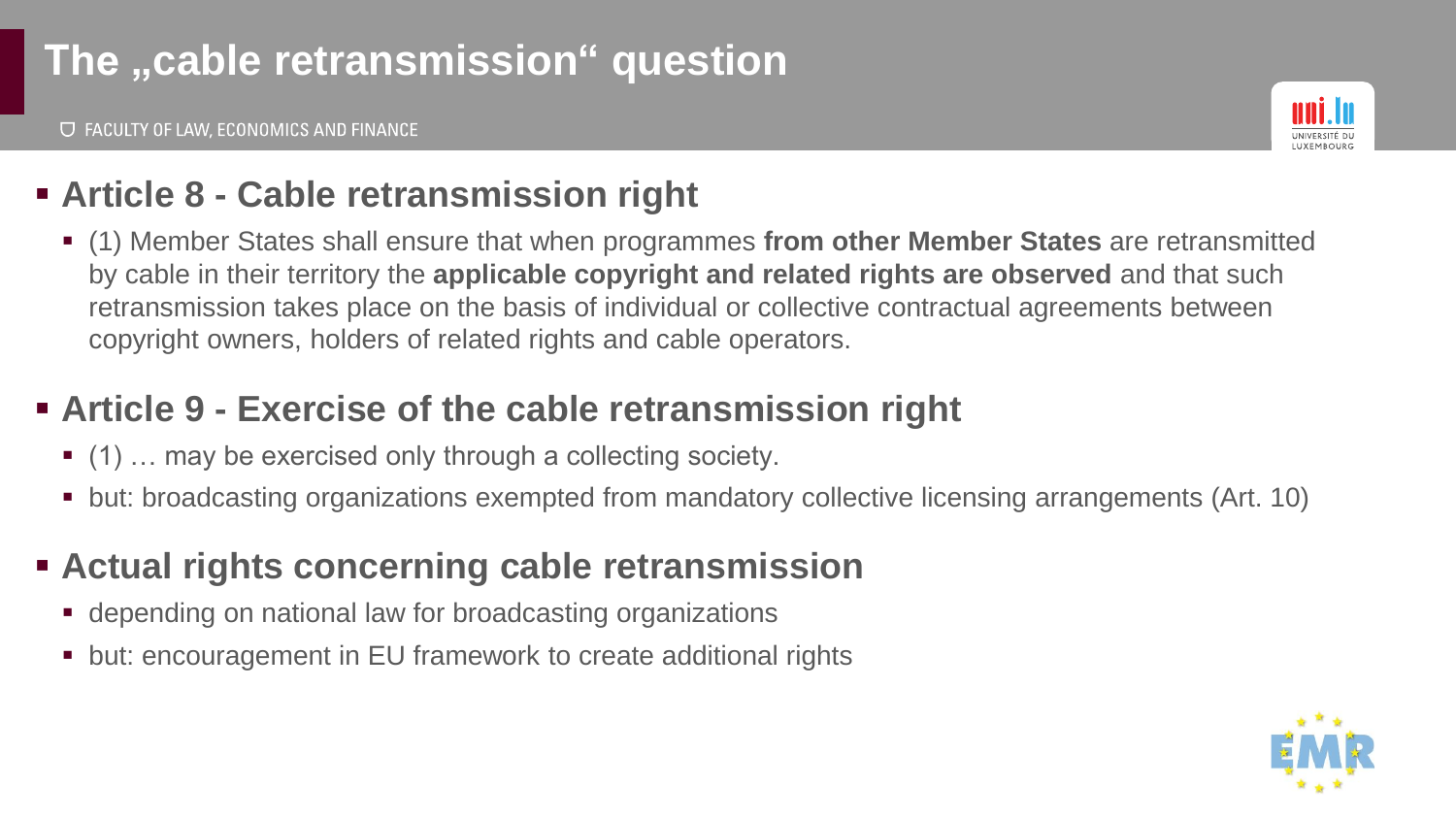# The "cable retransmission" question

**U FACULTY OF LAW, ECONOMICS AND FINANCE** 



#### ▪ **Article 8 - Cable retransmission right**

▪ (1) Member States shall ensure that when programmes **from other Member States** are retransmitted by cable in their territory the **applicable copyright and related rights are observed** and that such retransmission takes place on the basis of individual or collective contractual agreements between copyright owners, holders of related rights and cable operators.

#### ▪ **Article 9 - Exercise of the cable retransmission right**

- (1) ... may be exercised only through a collecting society.
- but: broadcasting organizations exempted from mandatory collective licensing arrangements (Art. 10)

#### ▪ **Actual rights concerning cable retransmission**

- depending on national law for broadcasting organizations
- but: encouragement in EU framework to create additional rights

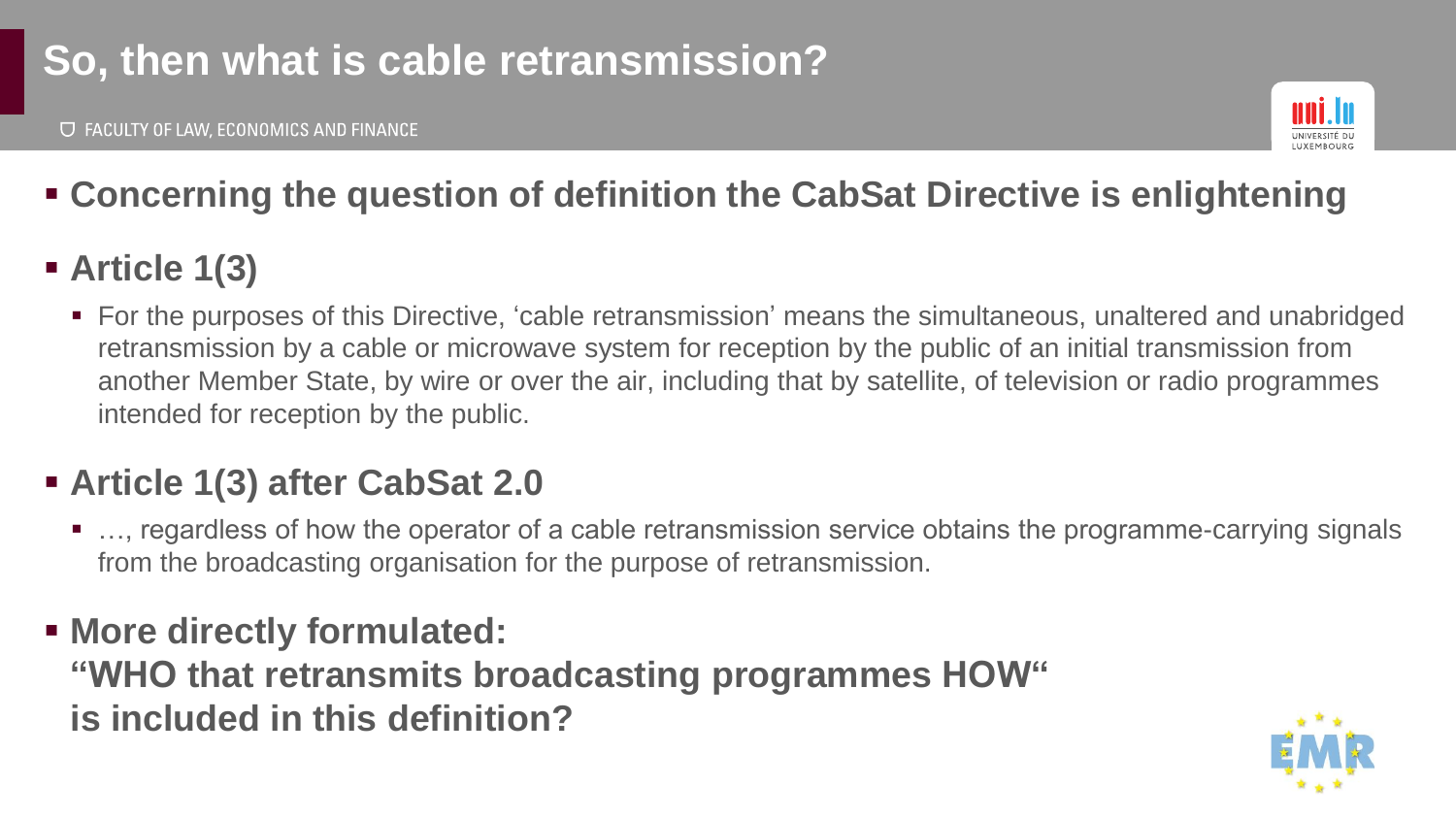# **So, then what is cable retransmission?**



## ▪ **Concerning the question of definition the CabSat Directive is enlightening**

## ▪ **Article 1(3)**

■ For the purposes of this Directive, 'cable retransmission' means the simultaneous, unaltered and unabridged retransmission by a cable or microwave system for reception by the public of an initial transmission from another Member State, by wire or over the air, including that by satellite, of television or radio programmes intended for reception by the public.

## ▪ **Article 1(3) after CabSat 2.0**

- …, regardless of how the operator of a cable retransmission service obtains the programme-carrying signals from the broadcasting organisation for the purpose of retransmission.
- **More directly formulated: "WHO that retransmits broadcasting programmes HOW" is included in this definition?**

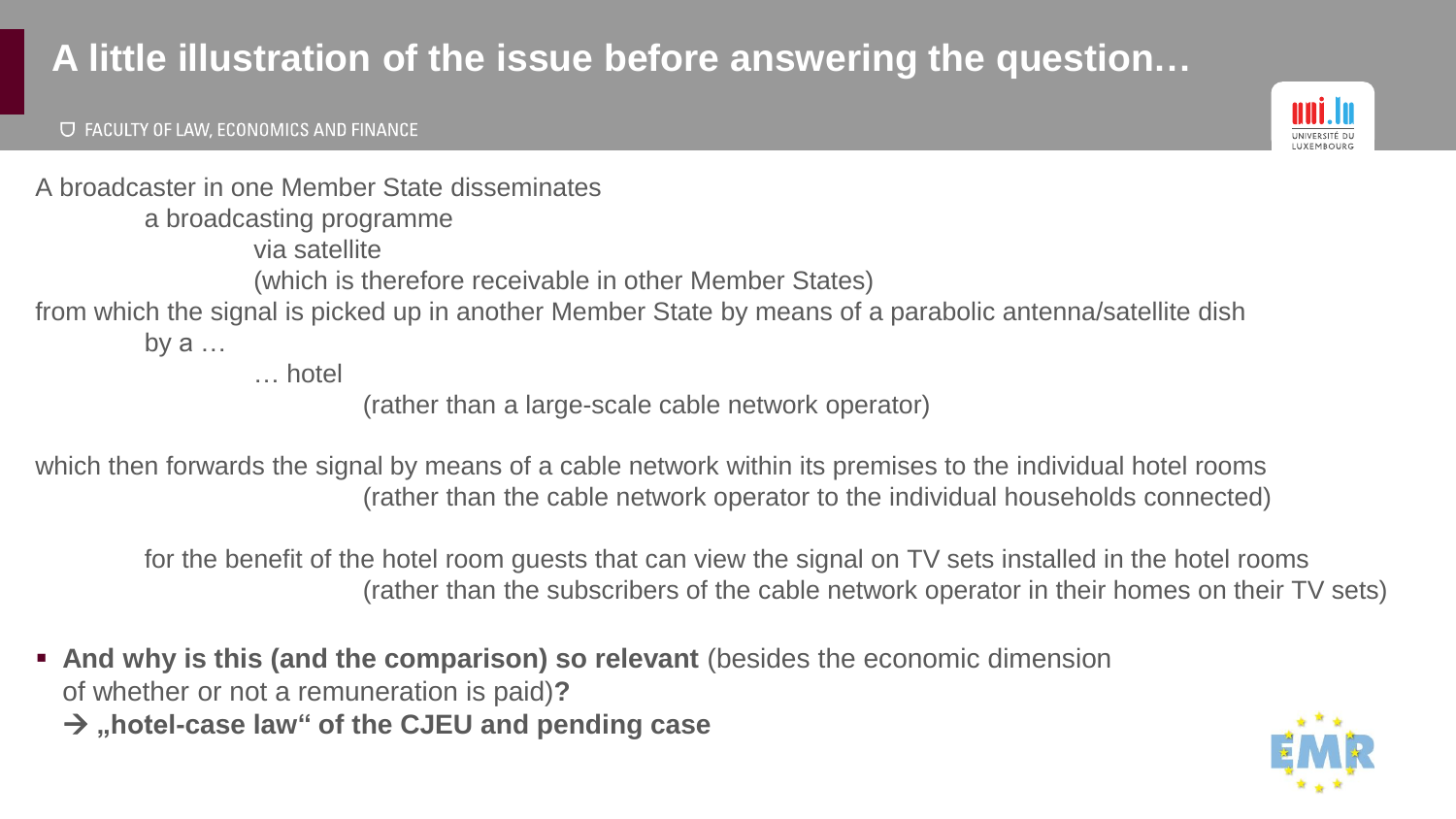## **A little illustration of the issue before answering the question…**

#### **U FACULTY OF LAW, ECONOMICS AND FINANCE**



A broadcaster in one Member State disseminates a broadcasting programme via satellite (which is therefore receivable in other Member States) from which the signal is picked up in another Member State by means of a parabolic antenna/satellite dish by  $a \dots$ 

… hotel

(rather than a large-scale cable network operator)

which then forwards the signal by means of a cable network within its premises to the individual hotel rooms (rather than the cable network operator to the individual households connected)

for the benefit of the hotel room guests that can view the signal on TV sets installed in the hotel rooms (rather than the subscribers of the cable network operator in their homes on their TV sets)

▪ **And why is this (and the comparison) so relevant** (besides the economic dimension of whether or not a remuneration is paid)**?**  → **"hotel-case law" of the CJEU and pending case**

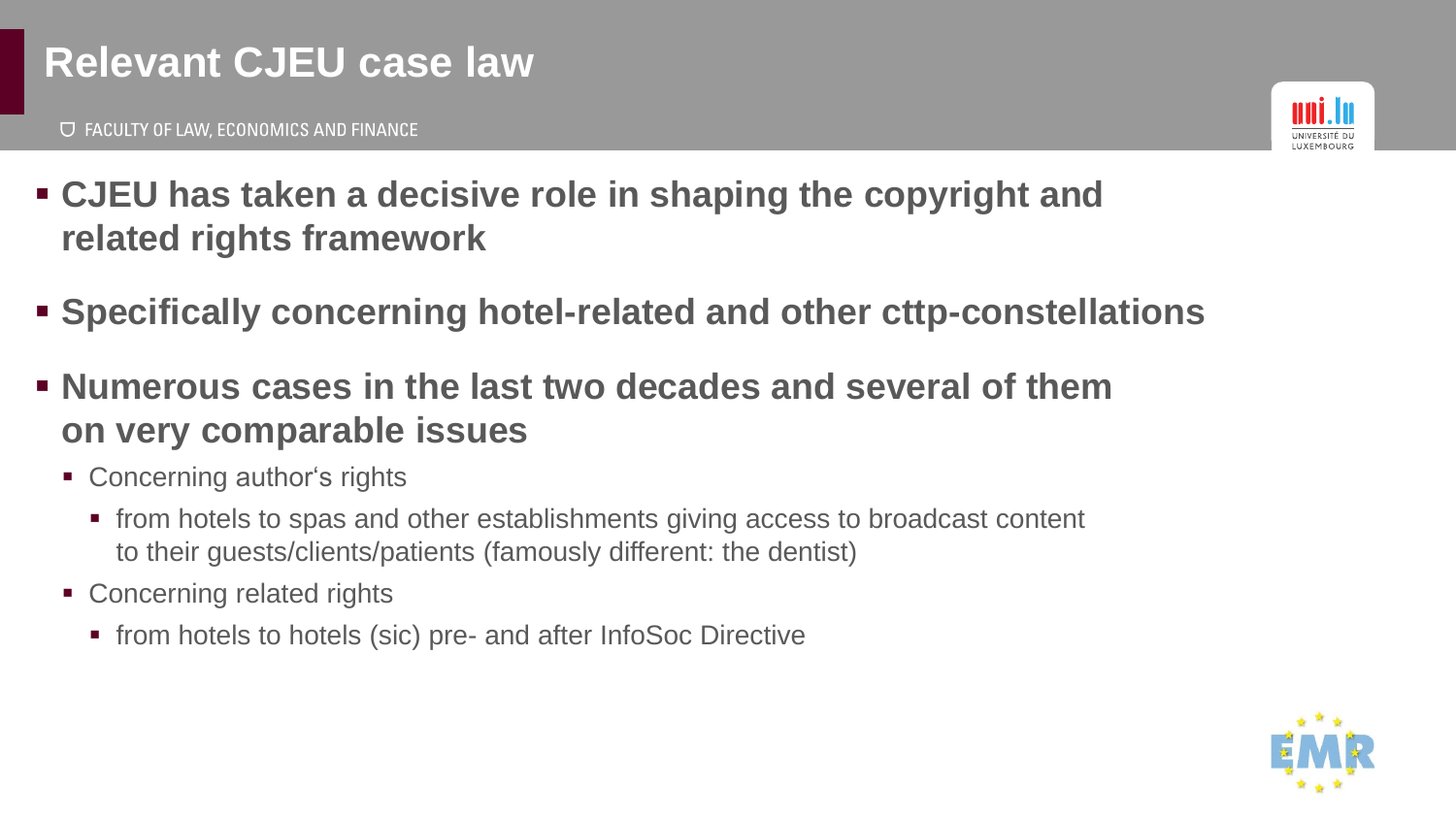## **Relevant CJEU case law**

**U FACULTY OF LAW, ECONOMICS AND FINANCE** 



- **CJEU has taken a decisive role in shaping the copyright and related rights framework**
- **Specifically concerning hotel-related and other cttp-constellations**
- **Numerous cases in the last two decades and several of them on very comparable issues**
	- Concerning author's rights
		- from hotels to spas and other establishments giving access to broadcast content to their guests/clients/patients (famously different: the dentist)
	- Concerning related rights
		- from hotels to hotels (sic) pre- and after InfoSoc Directive

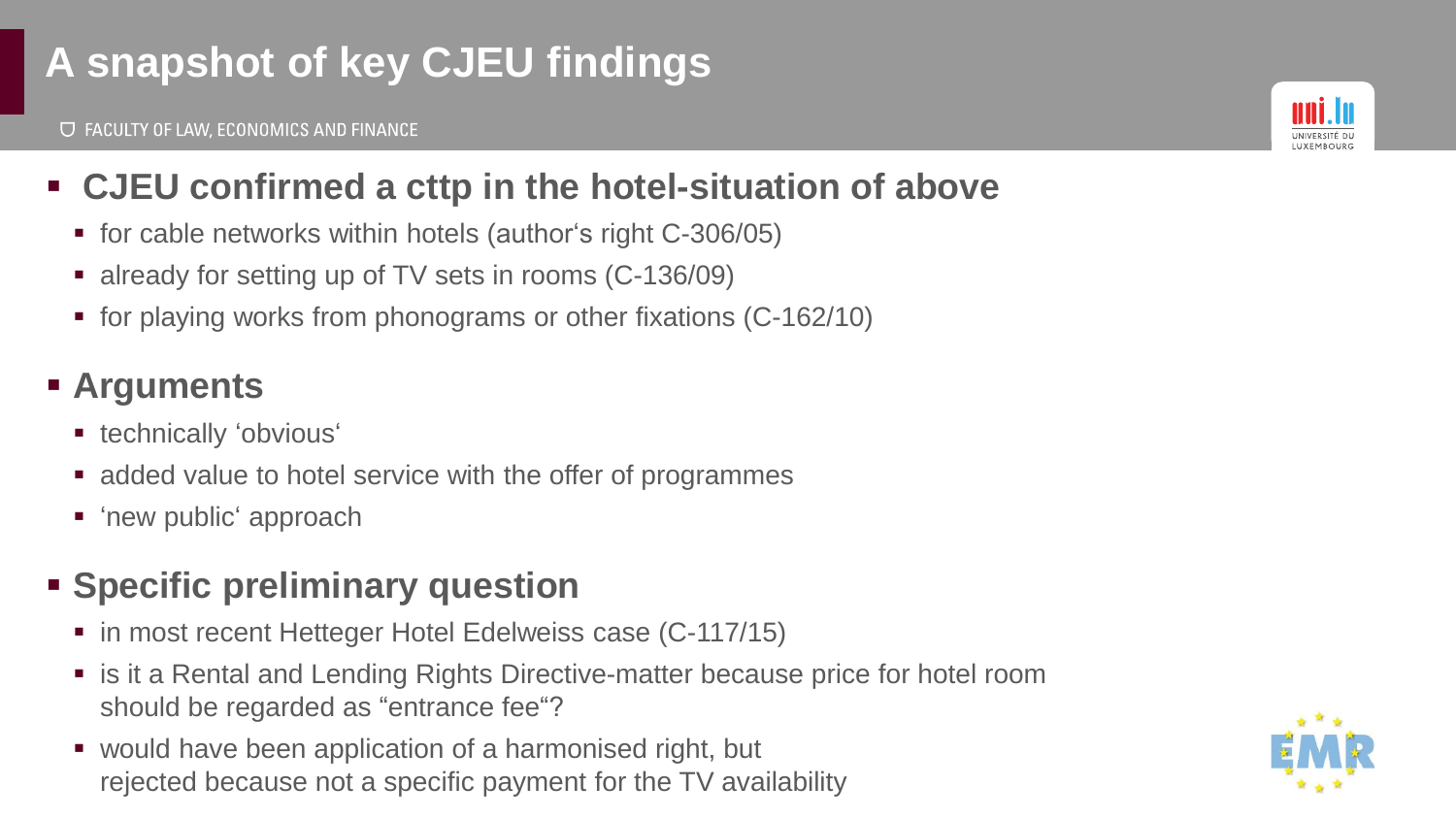# **A snapshot of key CJEU findings**



## ▪ **CJEU confirmed a cttp in the hotel-situation of above**

- for cable networks within hotels (author's right C-306/05)
- already for setting up of TV sets in rooms (C-136/09)
- for playing works from phonograms or other fixations (C-162/10)

## ▪ **Arguments**

- **•** technically 'obvious'
- added value to hotel service with the offer of programmes
- 'new public' approach

## ▪ **Specific preliminary question**

- in most recent Hetteger Hotel Edelweiss case (C-117/15)
- is it a Rental and Lending Rights Directive-matter because price for hotel room should be regarded as "entrance fee"?
- would have been application of a harmonised right, but rejected because not a specific payment for the TV availability

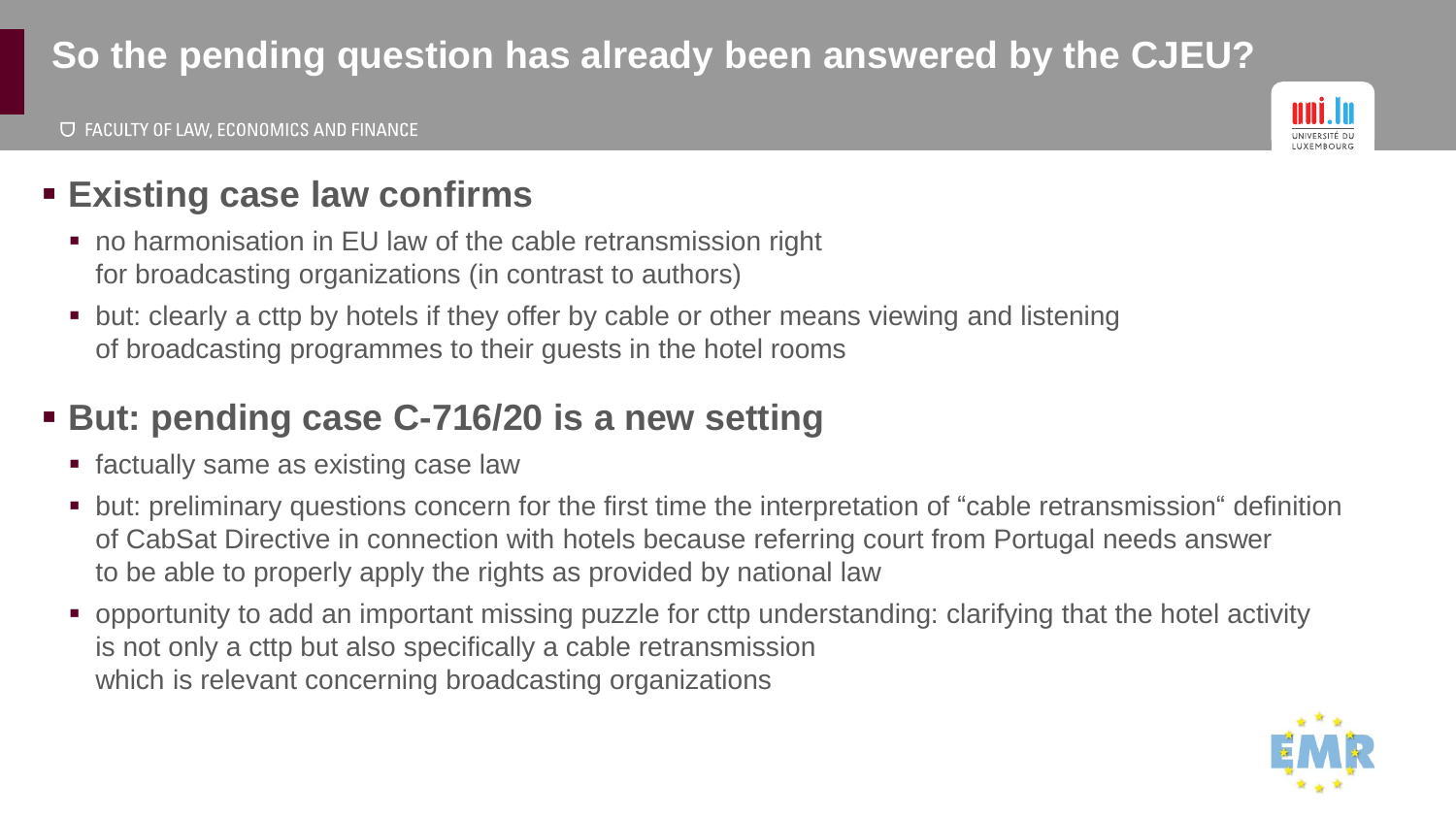## **So the pending question has already been answered by the CJEU?**



## ▪ **Existing case law confirms**

- no harmonisation in EU law of the cable retransmission right for broadcasting organizations (in contrast to authors)
- but: clearly a cttp by hotels if they offer by cable or other means viewing and listening of broadcasting programmes to their guests in the hotel rooms

## ▪ **But: pending case C-716/20 is a new setting**

- factually same as existing case law
- but: preliminary questions concern for the first time the interpretation of "cable retransmission" definition of CabSat Directive in connection with hotels because referring court from Portugal needs answer to be able to properly apply the rights as provided by national law
- opportunity to add an important missing puzzle for cttp understanding: clarifying that the hotel activity is not only a cttp but also specifically a cable retransmission which is relevant concerning broadcasting organizations

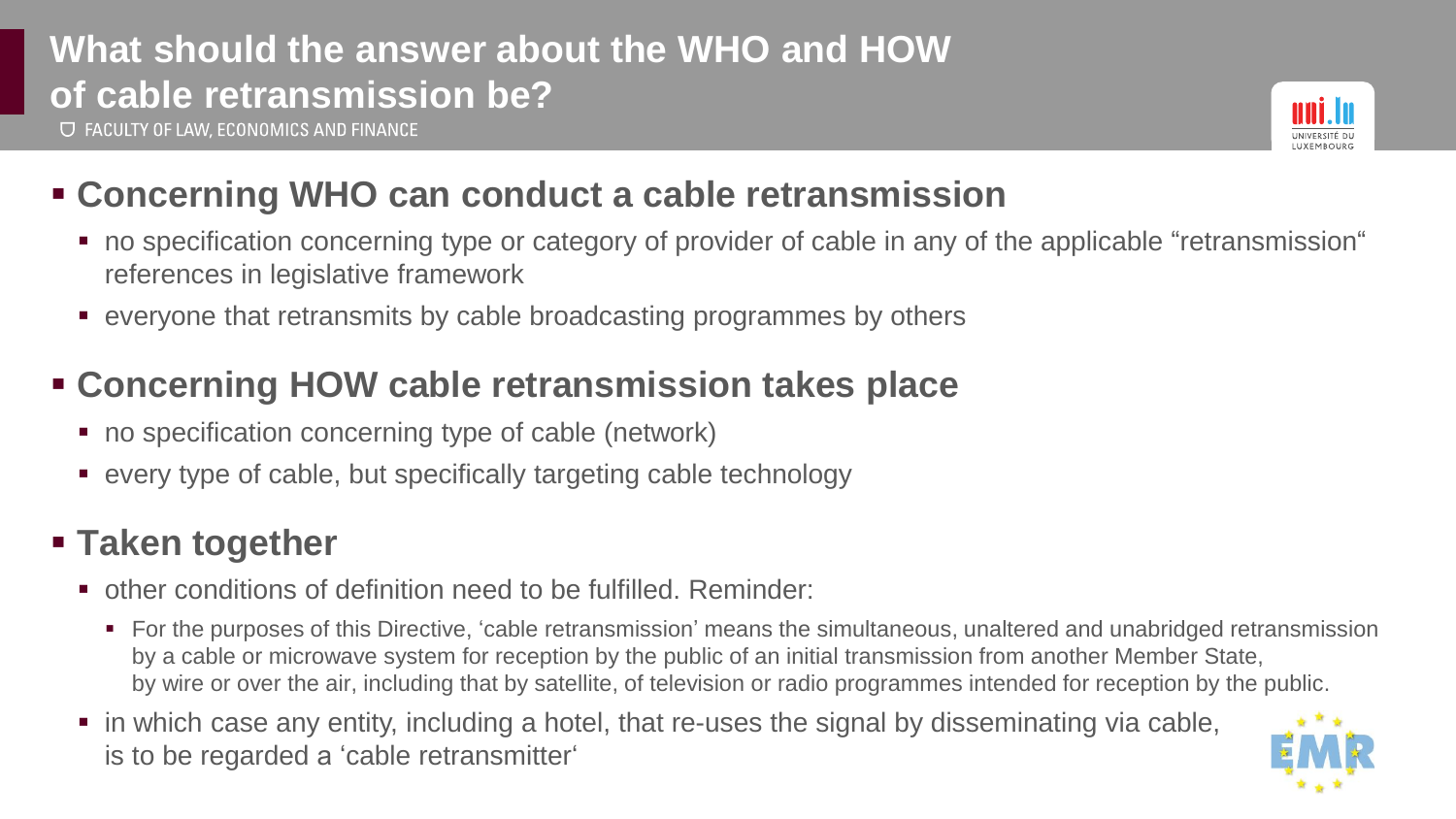# **What should the answer about the WHO and HOW of cable retransmission be?**

**U FACULTY OF LAW, ECONOMICS AND FINANCE** 



#### ▪ **Concerning WHO can conduct a cable retransmission**

- no specification concerning type or category of provider of cable in any of the applicable "retransmission" references in legislative framework
- everyone that retransmits by cable broadcasting programmes by others

#### ▪ **Concerning HOW cable retransmission takes place**

- no specification concerning type of cable (network)
- every type of cable, but specifically targeting cable technology

#### ▪ **Taken together**

- other conditions of definition need to be fulfilled. Reminder:
	- For the purposes of this Directive, 'cable retransmission' means the simultaneous, unaltered and unabridged retransmission by a cable or microwave system for reception by the public of an initial transmission from another Member State, by wire or over the air, including that by satellite, of television or radio programmes intended for reception by the public.
- in which case any entity, including a hotel, that re-uses the signal by disseminating via cable, is to be regarded a 'cable retransmitter'

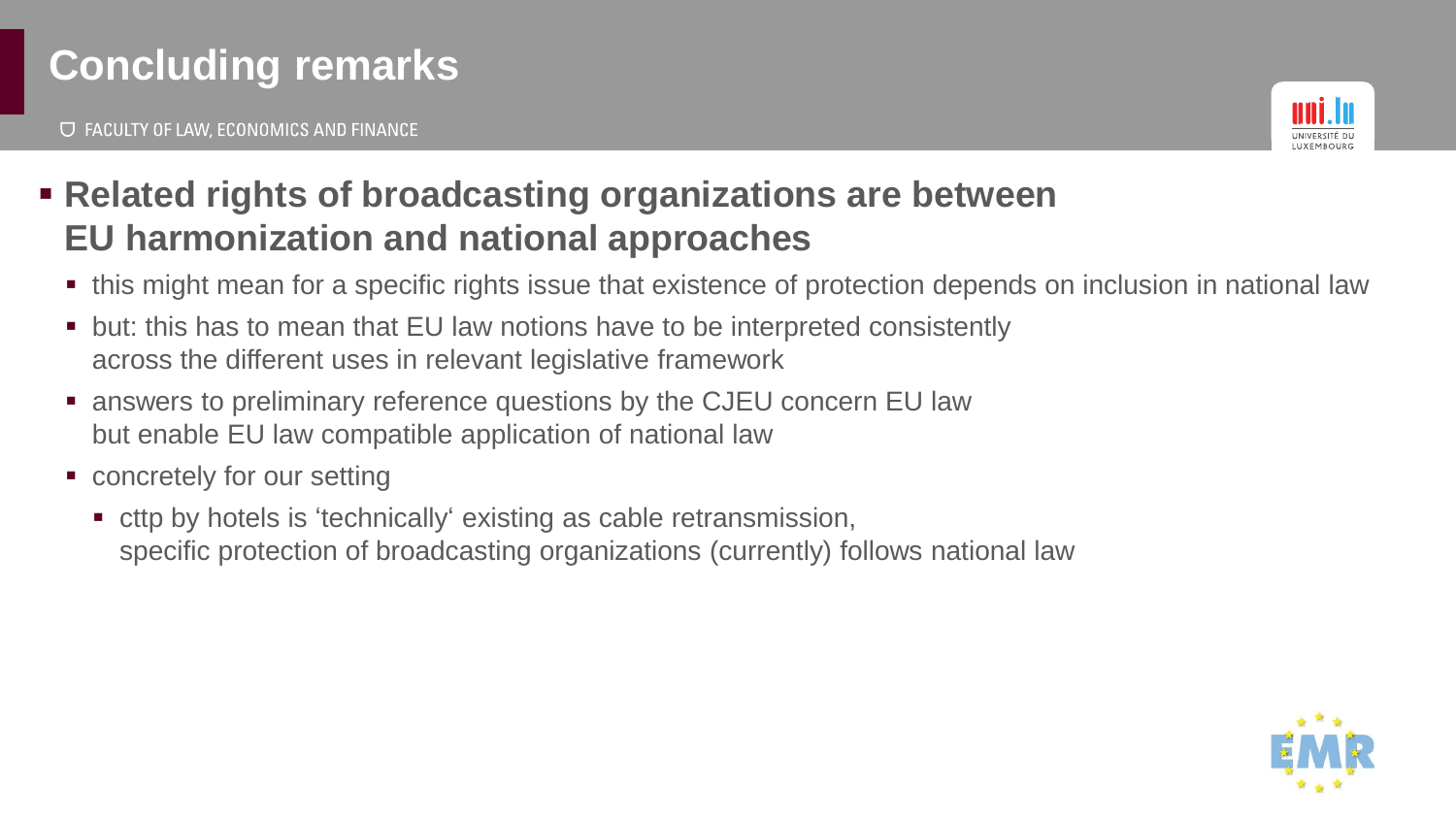# **Concluding remarks**

**U FACULTY OF LAW, ECONOMICS AND FINANCE** 



- **Related rights of broadcasting organizations are between EU harmonization and national approaches**
	- this might mean for a specific rights issue that existence of protection depends on inclusion in national law
	- but: this has to mean that EU law notions have to be interpreted consistently across the different uses in relevant legislative framework
	- answers to preliminary reference questions by the CJEU concern EU law but enable EU law compatible application of national law
	- concretely for our setting
		- cttp by hotels is 'technically' existing as cable retransmission, specific protection of broadcasting organizations (currently) follows national law

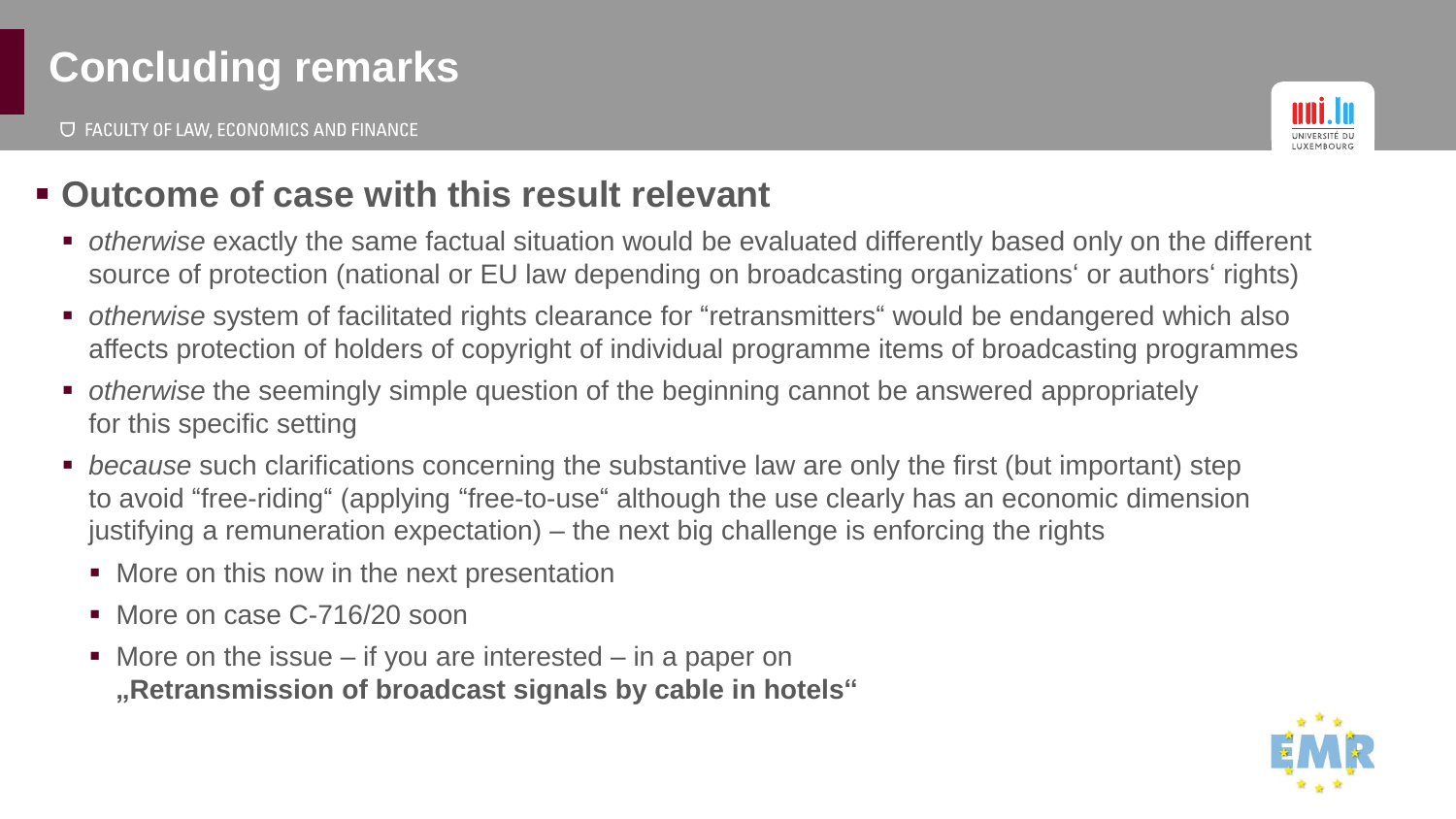**U FACULTY OF LAW, ECONOMICS AND FINANCE** 



#### ▪ **Outcome of case with this result relevant**

- *otherwise* exactly the same factual situation would be evaluated differently based only on the different source of protection (national or EU law depending on broadcasting organizations' or authors' rights)
- *otherwise* system of facilitated rights clearance for "retransmitters" would be endangered which also affects protection of holders of copyright of individual programme items of broadcasting programmes
- *otherwise* the seemingly simple question of the beginning cannot be answered appropriately for this specific setting
- *because* such clarifications concerning the substantive law are only the first (but important) step to avoid "free-riding" (applying "free-to-use" although the use clearly has an economic dimension justifying a remuneration expectation) – the next big challenge is enforcing the rights
	- More on this now in the next presentation
	- More on case C-716/20 soon
	- $\blacksquare$  More on the issue if you are interested in a paper on **"Retransmission of broadcast signals by cable in hotels"**